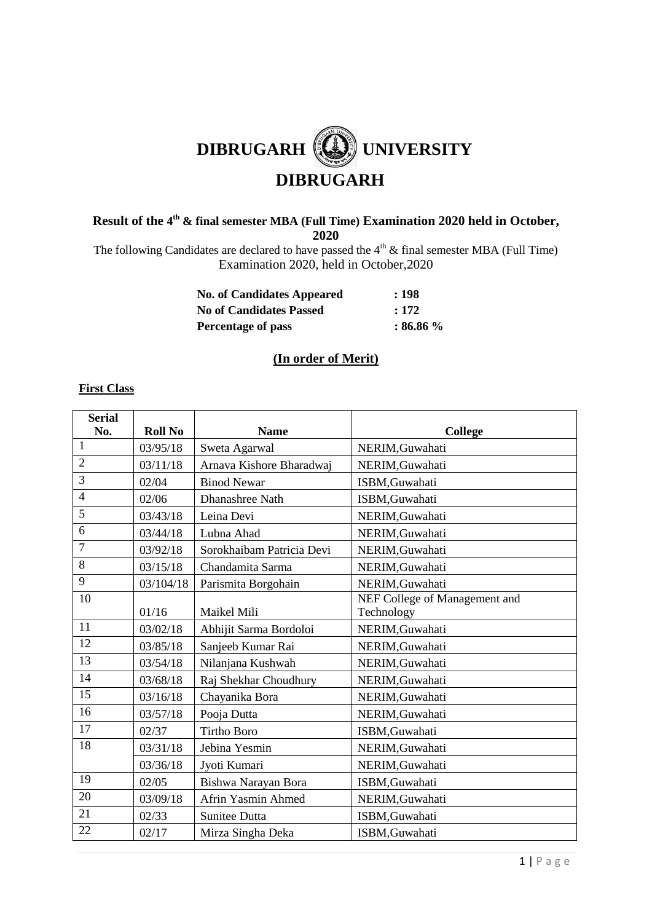# **DIBRUGARH (4)** UNIVERSITY  **DIBRUGARH**

### **Result of the 4 th & final semester MBA (Full Time) Examination 2020 held in October, 2020**

The following Candidates are declared to have passed the  $4<sup>th</sup>$  & final semester MBA (Full Time) Examination 2020, held in October,2020

| <b>No. of Candidates Appeared</b> | :198         |
|-----------------------------------|--------------|
| <b>No of Candidates Passed</b>    | : 172        |
| <b>Percentage of pass</b>         | $: 86.86 \%$ |

# **(In order of Merit)**

#### **First Class**

| <b>Serial</b>   |                |                           |                               |
|-----------------|----------------|---------------------------|-------------------------------|
| No.             | <b>Roll No</b> | <b>Name</b>               | <b>College</b>                |
| $\mathbf{1}$    | 03/95/18       | Sweta Agarwal             | NERIM, Guwahati               |
| $\overline{2}$  | 03/11/18       | Arnava Kishore Bharadwaj  | NERIM, Guwahati               |
| 3               | 02/04          | <b>Binod Newar</b>        | ISBM, Guwahati                |
| $\overline{4}$  | 02/06          | Dhanashree Nath           | ISBM, Guwahati                |
| $\overline{5}$  | 03/43/18       | Leina Devi                | NERIM, Guwahati               |
| 6               | 03/44/18       | Lubna Ahad                | NERIM, Guwahati               |
| $\overline{7}$  | 03/92/18       | Sorokhaibam Patricia Devi | NERIM, Guwahati               |
| 8               | 03/15/18       | Chandamita Sarma          | NERIM, Guwahati               |
| 9               | 03/104/18      | Parismita Borgohain       | NERIM, Guwahati               |
| 10              |                |                           | NEF College of Management and |
|                 | 01/16          | Maikel Mili               | Technology                    |
| 11              | 03/02/18       | Abhijit Sarma Bordoloi    | NERIM, Guwahati               |
| 12              | 03/85/18       | Sanjeeb Kumar Rai         | NERIM, Guwahati               |
| 13              | 03/54/18       | Nilanjana Kushwah         | NERIM, Guwahati               |
| 14              | 03/68/18       | Raj Shekhar Choudhury     | NERIM, Guwahati               |
| $\overline{15}$ | 03/16/18       | Chayanika Bora            | NERIM, Guwahati               |
| 16              | 03/57/18       | Pooja Dutta               | NERIM, Guwahati               |
| 17              | 02/37          | <b>Tirtho Boro</b>        | ISBM, Guwahati                |
| 18              | 03/31/18       | Jebina Yesmin             | NERIM, Guwahati               |
|                 | 03/36/18       | Jyoti Kumari              | NERIM, Guwahati               |
| 19              | 02/05          | Bishwa Narayan Bora       | ISBM, Guwahati                |
| 20              | 03/09/18       | Afrin Yasmin Ahmed        | NERIM, Guwahati               |
| 21              | 02/33          | <b>Sunitee Dutta</b>      | ISBM, Guwahati                |
| 22              | 02/17          | Mirza Singha Deka         | ISBM, Guwahati                |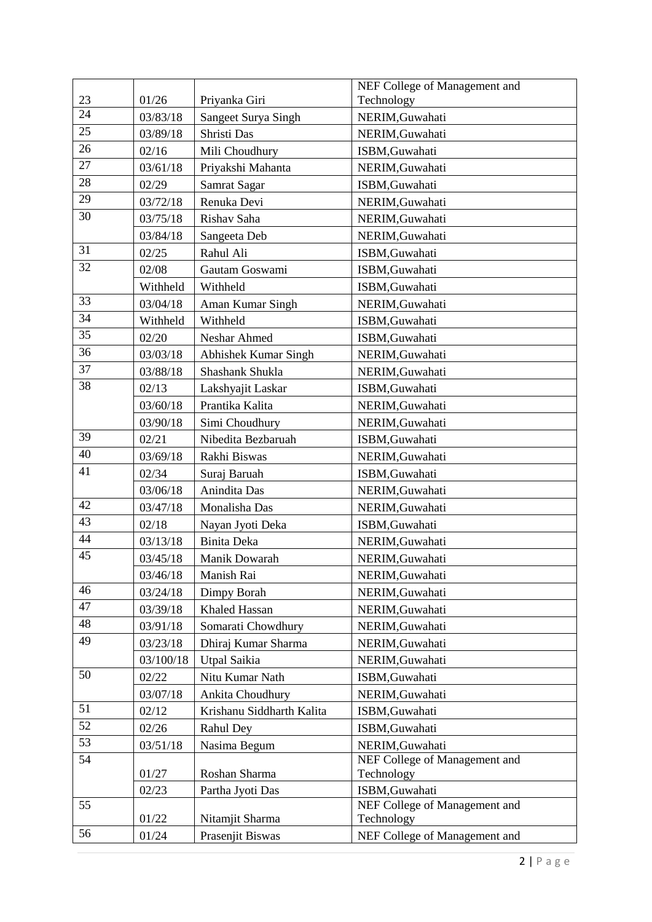|    |           |                           | NEF College of Management and               |
|----|-----------|---------------------------|---------------------------------------------|
| 23 | 01/26     | Priyanka Giri             | Technology                                  |
| 24 | 03/83/18  | Sangeet Surya Singh       | NERIM, Guwahati                             |
| 25 | 03/89/18  | Shristi Das               | NERIM, Guwahati                             |
| 26 | 02/16     | Mili Choudhury            | ISBM, Guwahati                              |
| 27 | 03/61/18  | Priyakshi Mahanta         | NERIM, Guwahati                             |
| 28 | 02/29     | Samrat Sagar              | ISBM, Guwahati                              |
| 29 | 03/72/18  | Renuka Devi               | NERIM, Guwahati                             |
| 30 | 03/75/18  | Rishav Saha               | NERIM, Guwahati                             |
|    | 03/84/18  | Sangeeta Deb              | NERIM, Guwahati                             |
| 31 | 02/25     | Rahul Ali                 | ISBM, Guwahati                              |
| 32 | 02/08     | Gautam Goswami            | ISBM, Guwahati                              |
|    | Withheld  | Withheld                  | ISBM, Guwahati                              |
| 33 | 03/04/18  | Aman Kumar Singh          | NERIM, Guwahati                             |
| 34 | Withheld  | Withheld                  | ISBM, Guwahati                              |
| 35 | 02/20     | Neshar Ahmed              | ISBM, Guwahati                              |
| 36 | 03/03/18  | Abhishek Kumar Singh      | NERIM, Guwahati                             |
| 37 | 03/88/18  | Shashank Shukla           | NERIM, Guwahati                             |
| 38 | 02/13     | Lakshyajit Laskar         | ISBM, Guwahati                              |
|    | 03/60/18  | Prantika Kalita           | NERIM, Guwahati                             |
|    | 03/90/18  | Simi Choudhury            | NERIM, Guwahati                             |
| 39 | 02/21     | Nibedita Bezbaruah        | ISBM, Guwahati                              |
| 40 | 03/69/18  | Rakhi Biswas              | NERIM, Guwahati                             |
| 41 | 02/34     | Suraj Baruah              | ISBM, Guwahati                              |
|    | 03/06/18  | Anindita Das              | NERIM, Guwahati                             |
| 42 | 03/47/18  | Monalisha Das             | NERIM, Guwahati                             |
| 43 | 02/18     | Nayan Jyoti Deka          | ISBM, Guwahati                              |
| 44 | 03/13/18  | Binita Deka               | NERIM, Guwahati                             |
| 45 | 03/45/18  | Manik Dowarah             | NERIM, Guwahati                             |
|    | 03/46/18  | Manish Rai                | NERIM, Guwahati                             |
| 46 | 03/24/18  | Dimpy Borah               | NERIM, Guwahati                             |
| 47 | 03/39/18  | Khaled Hassan             | NERIM, Guwahati                             |
| 48 | 03/91/18  | Somarati Chowdhury        | NERIM, Guwahati                             |
| 49 | 03/23/18  | Dhiraj Kumar Sharma       | NERIM, Guwahati                             |
|    | 03/100/18 | Utpal Saikia              | NERIM, Guwahati                             |
| 50 | 02/22     | Nitu Kumar Nath           | ISBM, Guwahati                              |
|    | 03/07/18  | Ankita Choudhury          | NERIM, Guwahati                             |
| 51 | 02/12     | Krishanu Siddharth Kalita | ISBM, Guwahati                              |
| 52 | 02/26     | Rahul Dey                 | ISBM, Guwahati                              |
| 53 | 03/51/18  | Nasima Begum              | NERIM, Guwahati                             |
| 54 |           |                           | NEF College of Management and               |
|    | 01/27     | Roshan Sharma             | Technology                                  |
|    | 02/23     | Partha Jyoti Das          | ISBM, Guwahati                              |
| 55 | 01/22     | Nitamjit Sharma           | NEF College of Management and<br>Technology |
| 56 |           |                           |                                             |
|    | 01/24     | Prasenjit Biswas          | NEF College of Management and               |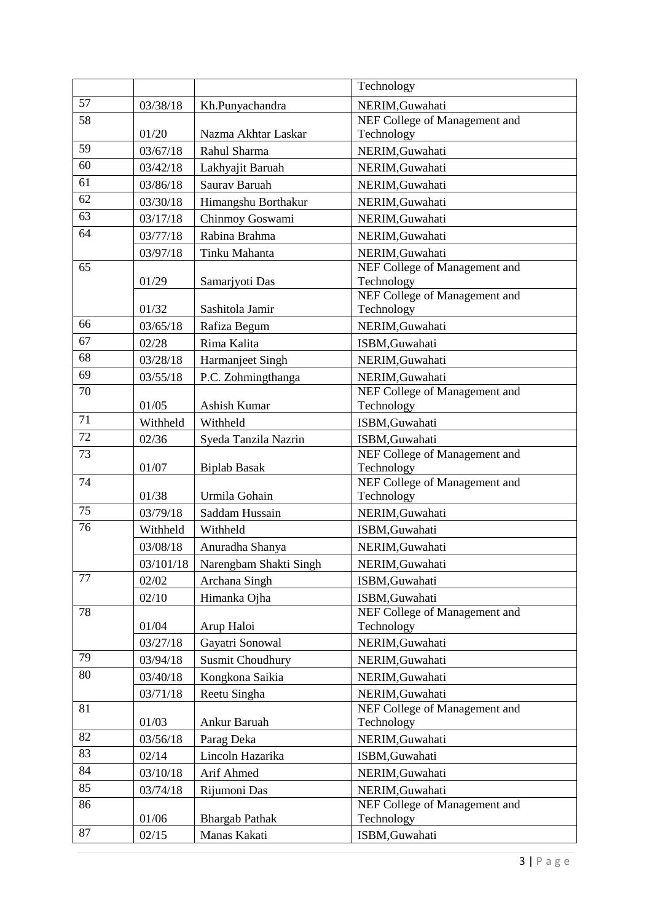|    |           |                         | Technology                                      |  |
|----|-----------|-------------------------|-------------------------------------------------|--|
| 57 | 03/38/18  | Kh.Punyachandra         | NERIM, Guwahati                                 |  |
| 58 |           |                         | NEF College of Management and                   |  |
|    | 01/20     | Nazma Akhtar Laskar     | Technology                                      |  |
| 59 | 03/67/18  | Rahul Sharma            | NERIM, Guwahati                                 |  |
| 60 | 03/42/18  | Lakhyajit Baruah        | NERIM, Guwahati                                 |  |
| 61 | 03/86/18  | Saurav Baruah           | NERIM, Guwahati                                 |  |
| 62 | 03/30/18  | Himangshu Borthakur     | NERIM, Guwahati                                 |  |
| 63 | 03/17/18  | Chinmoy Goswami         | NERIM, Guwahati                                 |  |
| 64 | 03/77/18  | Rabina Brahma           | NERIM, Guwahati                                 |  |
|    | 03/97/18  | Tinku Mahanta           | NERIM, Guwahati                                 |  |
| 65 |           |                         | NEF College of Management and                   |  |
|    | 01/29     | Samarjyoti Das          | Technology                                      |  |
|    |           |                         | NEF College of Management and                   |  |
| 66 | 01/32     | Sashitola Jamir         | Technology                                      |  |
| 67 | 03/65/18  | Rafiza Begum            | NERIM, Guwahati                                 |  |
| 68 | 02/28     | Rima Kalita             | ISBM, Guwahati                                  |  |
|    | 03/28/18  | Harmanjeet Singh        | NERIM, Guwahati                                 |  |
| 69 | 03/55/18  | P.C. Zohmingthanga      | NERIM, Guwahati                                 |  |
| 70 | 01/05     | Ashish Kumar            | NEF College of Management and<br>Technology     |  |
| 71 | Withheld  | Withheld                | ISBM, Guwahati                                  |  |
| 72 |           |                         |                                                 |  |
| 73 | 02/36     | Syeda Tanzila Nazrin    | ISBM, Guwahati<br>NEF College of Management and |  |
|    | 01/07     | <b>Biplab Basak</b>     | Technology                                      |  |
| 74 |           |                         | NEF College of Management and                   |  |
|    | 01/38     | Urmila Gohain           | Technology                                      |  |
| 75 | 03/79/18  | Saddam Hussain          | NERIM, Guwahati                                 |  |
| 76 | Withheld  | Withheld                | ISBM, Guwahati                                  |  |
|    | 03/08/18  | Anuradha Shanya         | NERIM, Guwahati                                 |  |
|    | 03/101/18 | Narengbam Shakti Singh  | NERIM, Guwahati                                 |  |
| 77 | 02/02     | Archana Singh           | ISBM, Guwahati                                  |  |
|    | 02/10     | Himanka Ojha            | ISBM, Guwahati                                  |  |
| 78 |           |                         | NEF College of Management and                   |  |
|    | 01/04     | Arup Haloi              | Technology                                      |  |
|    | 03/27/18  | Gayatri Sonowal         | NERIM, Guwahati                                 |  |
| 79 | 03/94/18  | <b>Susmit Choudhury</b> | NERIM, Guwahati                                 |  |
| 80 | 03/40/18  | Kongkona Saikia         | NERIM, Guwahati                                 |  |
|    | 03/71/18  | Reetu Singha            | NERIM, Guwahati                                 |  |
| 81 |           |                         | NEF College of Management and                   |  |
|    | 01/03     | Ankur Baruah            | Technology                                      |  |
| 82 | 03/56/18  | Parag Deka              | NERIM, Guwahati                                 |  |
| 83 | 02/14     | Lincoln Hazarika        | ISBM, Guwahati                                  |  |
| 84 | 03/10/18  | Arif Ahmed              | NERIM, Guwahati                                 |  |
| 85 | 03/74/18  | Rijumoni Das            | NERIM, Guwahati                                 |  |
| 86 |           |                         | NEF College of Management and                   |  |
|    | 01/06     | <b>Bhargab Pathak</b>   | Technology                                      |  |
| 87 | 02/15     | Manas Kakati            | ISBM, Guwahati                                  |  |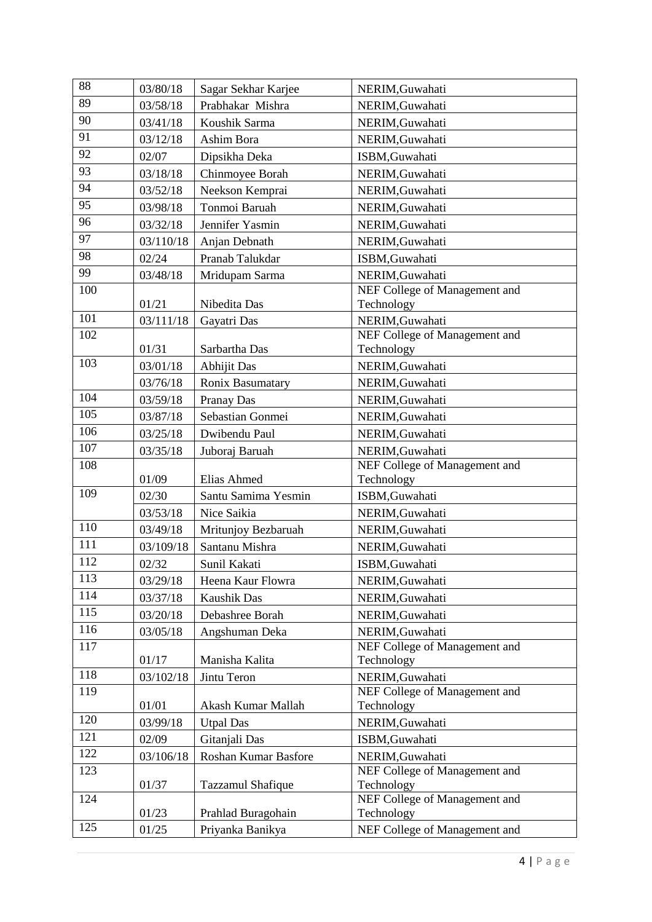| 88  | 03/80/18  | Sagar Sekhar Karjee                 | NERIM, Guwahati                             |
|-----|-----------|-------------------------------------|---------------------------------------------|
| 89  | 03/58/18  | Prabhakar Mishra<br>NERIM, Guwahati |                                             |
| 90  | 03/41/18  | Koushik Sarma                       | NERIM, Guwahati                             |
| 91  | 03/12/18  | Ashim Bora                          | NERIM, Guwahati                             |
| 92  | 02/07     | Dipsikha Deka                       | ISBM, Guwahati                              |
| 93  | 03/18/18  | Chinmoyee Borah                     | NERIM, Guwahati                             |
| 94  | 03/52/18  | Neekson Kemprai                     | NERIM, Guwahati                             |
| 95  | 03/98/18  | Tonmoi Baruah                       | NERIM, Guwahati                             |
| 96  | 03/32/18  | Jennifer Yasmin                     | NERIM, Guwahati                             |
| 97  | 03/110/18 | Anjan Debnath                       | NERIM, Guwahati                             |
| 98  | 02/24     | Pranab Talukdar                     | ISBM, Guwahati                              |
| 99  | 03/48/18  | Mridupam Sarma                      | NERIM, Guwahati                             |
| 100 |           |                                     | NEF College of Management and               |
|     | 01/21     | Nibedita Das                        | Technology                                  |
| 101 | 03/111/18 | Gayatri Das                         | NERIM, Guwahati                             |
| 102 |           |                                     | NEF College of Management and               |
| 103 | 01/31     | Sarbartha Das                       | Technology                                  |
|     | 03/01/18  | <b>Abhijit Das</b>                  | NERIM, Guwahati                             |
| 104 | 03/76/18  | Ronix Basumatary                    | NERIM, Guwahati                             |
| 105 | 03/59/18  | Pranay Das                          | NERIM, Guwahati                             |
| 106 | 03/87/18  | Sebastian Gonmei                    | NERIM, Guwahati                             |
|     | 03/25/18  | Dwibendu Paul                       | NERIM, Guwahati                             |
| 107 | 03/35/18  | Juboraj Baruah                      | NERIM, Guwahati                             |
| 108 | 01/09     | Elias Ahmed                         | NEF College of Management and<br>Technology |
| 109 | 02/30     | Santu Samima Yesmin                 | ISBM, Guwahati                              |
|     | 03/53/18  | Nice Saikia                         | NERIM, Guwahati                             |
| 110 | 03/49/18  | Mritunjoy Bezbaruah                 | NERIM, Guwahati                             |
| 111 | 03/109/18 | Santanu Mishra                      | NERIM, Guwahati                             |
| 112 | 02/32     | Sunil Kakati                        | ISBM, Guwahati                              |
| 113 | 03/29/18  | Heena Kaur Flowra                   | NERIM, Guwahati                             |
| 114 | 03/37/18  | Kaushik Das                         | NERIM, Guwahati                             |
| 115 | 03/20/18  | Debashree Borah                     | NERIM, Guwahati                             |
| 116 | 03/05/18  | Angshuman Deka                      | NERIM, Guwahati                             |
| 117 |           |                                     | NEF College of Management and               |
|     | 01/17     | Manisha Kalita                      | Technology                                  |
| 118 | 03/102/18 | Jintu Teron                         | NERIM, Guwahati                             |
| 119 |           |                                     | NEF College of Management and               |
|     | 01/01     | Akash Kumar Mallah                  | Technology                                  |
| 120 | 03/99/18  | <b>Utpal Das</b>                    | NERIM, Guwahati                             |
| 121 | 02/09     | Gitanjali Das                       | ISBM, Guwahati                              |
| 122 | 03/106/18 | Roshan Kumar Basfore                | NERIM, Guwahati                             |
| 123 |           |                                     | NEF College of Management and               |
| 124 | 01/37     | Tazzamul Shafique                   | Technology<br>NEF College of Management and |
|     | 01/23     | Prahlad Buragohain                  | Technology                                  |
|     |           |                                     |                                             |
| 125 | 01/25     | Priyanka Banikya                    | NEF College of Management and               |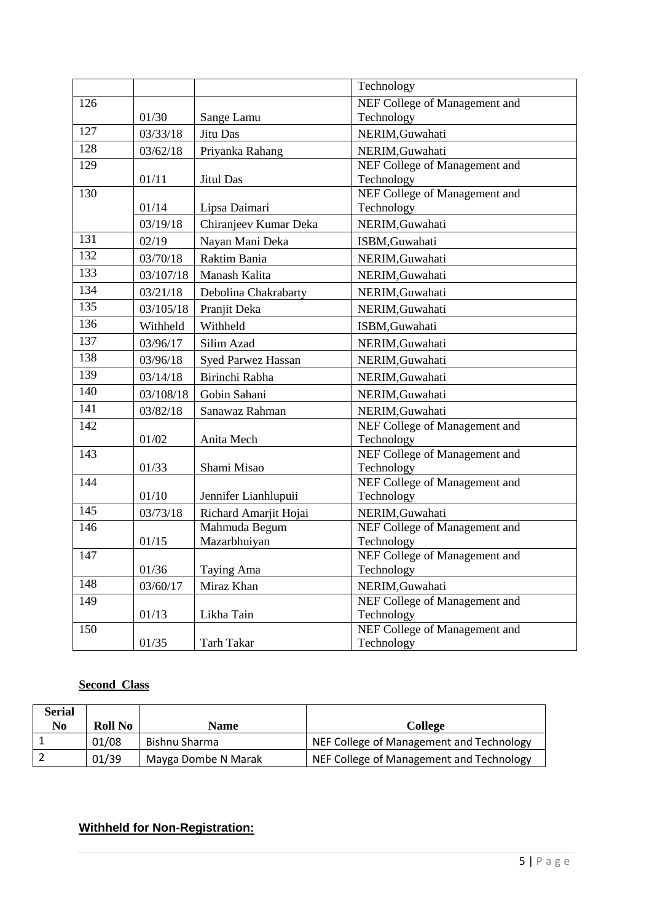|     |           |                           | Technology                                  |
|-----|-----------|---------------------------|---------------------------------------------|
| 126 |           |                           | NEF College of Management and               |
|     | 01/30     | Sange Lamu                | Technology                                  |
| 127 | 03/33/18  | Jitu Das                  | NERIM, Guwahati                             |
| 128 | 03/62/18  | Priyanka Rahang           | NERIM, Guwahati                             |
| 129 |           |                           | NEF College of Management and               |
|     | 01/11     | <b>Jitul Das</b>          | Technology                                  |
| 130 |           |                           | NEF College of Management and               |
|     | 01/14     | Lipsa Daimari             | Technology                                  |
| 131 | 03/19/18  | Chiranjeev Kumar Deka     | NERIM, Guwahati                             |
|     | 02/19     | Nayan Mani Deka           | ISBM, Guwahati                              |
| 132 | 03/70/18  | Raktim Bania              | NERIM, Guwahati                             |
| 133 | 03/107/18 | Manash Kalita             | NERIM, Guwahati                             |
| 134 | 03/21/18  | Debolina Chakrabarty      | NERIM, Guwahati                             |
| 135 | 03/105/18 | Pranjit Deka              | NERIM, Guwahati                             |
| 136 | Withheld  | Withheld                  | ISBM, Guwahati                              |
| 137 | 03/96/17  | Silim Azad                | NERIM, Guwahati                             |
| 138 | 03/96/18  | <b>Syed Parwez Hassan</b> | NERIM, Guwahati                             |
| 139 | 03/14/18  | Birinchi Rabha            | NERIM, Guwahati                             |
| 140 | 03/108/18 | Gobin Sahani              | NERIM, Guwahati                             |
| 141 | 03/82/18  | Sanawaz Rahman            | NERIM, Guwahati                             |
| 142 |           |                           | NEF College of Management and               |
|     | 01/02     | Anita Mech                | Technology                                  |
| 143 |           |                           | NEF College of Management and               |
| 144 | 01/33     | Shami Misao               | Technology<br>NEF College of Management and |
|     | 01/10     | Jennifer Lianhlupuii      | Technology                                  |
| 145 | 03/73/18  | Richard Amarjit Hojai     | NERIM, Guwahati                             |
| 146 |           | Mahmuda Begum             | NEF College of Management and               |
|     | 01/15     | Mazarbhuiyan              | Technology                                  |
| 147 |           |                           | NEF College of Management and               |
|     | 01/36     | Taying Ama                | Technology                                  |
| 148 | 03/60/17  | Miraz Khan                | NERIM, Guwahati                             |
| 149 |           |                           | NEF College of Management and               |
|     | 01/13     | Likha Tain                | Technology                                  |
| 150 |           |                           | NEF College of Management and               |
|     | 01/35     | Tarh Takar                | Technology                                  |

# **Second Class**

| <b>Serial</b><br>No | <b>Roll No</b> | <b>Name</b>         | College                                  |
|---------------------|----------------|---------------------|------------------------------------------|
|                     | 01/08          | Bishnu Sharma       | NEF College of Management and Technology |
|                     | 01/39          | Mayga Dombe N Marak | NEF College of Management and Technology |

# **Withheld for Non-Registration:**